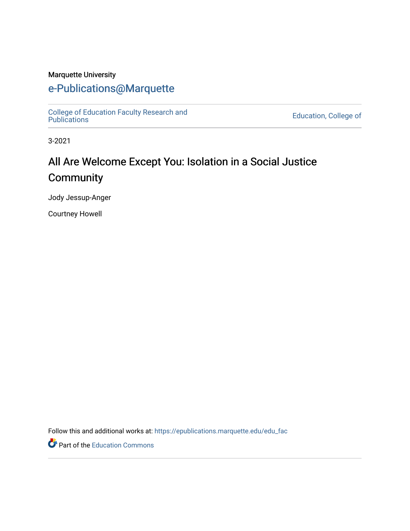#### Marquette University

## [e-Publications@Marquette](https://epublications.marquette.edu/)

[College of Education Faculty Research and](https://epublications.marquette.edu/edu_fac)  [Publications](https://epublications.marquette.edu/edu_fac) [Education, College of](https://epublications.marquette.edu/education) 

3-2021

# All Are Welcome Except You: Isolation in a Social Justice **Community**

Jody Jessup-Anger

Courtney Howell

Follow this and additional works at: [https://epublications.marquette.edu/edu\\_fac](https://epublications.marquette.edu/edu_fac?utm_source=epublications.marquette.edu%2Fedu_fac%2F557&utm_medium=PDF&utm_campaign=PDFCoverPages) 

Part of the [Education Commons](http://network.bepress.com/hgg/discipline/784?utm_source=epublications.marquette.edu%2Fedu_fac%2F557&utm_medium=PDF&utm_campaign=PDFCoverPages)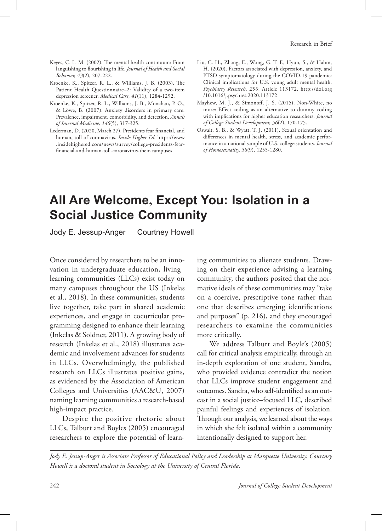## **All Are Welcome, Except You: Isolation in a Social Justice Community**

Jody E. Jessup-Anger Courtney Howell

Once considered by researchers to be an innovation in undergraduate education, living– learning communities (LLCs) exist today on many campuses throughout the US (Inkelas et al., 2018). In these communities, students live together, take part in shared academic experiences, and engage in cocurricular programming designed to enhance their learning (Inkelas & Soldner, 2011). A growing body of research (Inkelas et al., 2018) illustrates academic and involvement advances for students in LLCs. Overwhelmingly, the published research on LLCs illustrates positive gains, as evidenced by the Association of American Colleges and Universities (AAC&U, 2007) naming learning communities a research-based high-impact practice.

Despite the positive rhetoric about LLCs, Talburt and Boyles (2005) encouraged researchers to explore the potential of learn-

ing communities to alienate students. Drawing on their experience advising a learning community, the authors posited that the normative ideals of these communities may "take on a coercive, prescriptive tone rather than one that describes emerging identifications and purposes" (p. 216), and they encouraged researchers to examine the communities more critically.

We address Talburt and Boyle's (2005) call for critical analysis empirically, through an in-depth exploration of one student, Sandra, who provided evidence contradict the notion that LLCs improve student engagement and outcomes. Sandra, who self-identified as an outcast in a social justice–focused LLC, described painful feelings and experiences of isolation. Through our analysis, we learned about the ways in which she felt isolated within a community intentionally designed to support her.

*Jody E. Jessup-Anger is Associate Professor of Educational Policy and Leadership at Marquette University. Courtney Howell is a doctoral student in Sociology at the University of Central Florida.*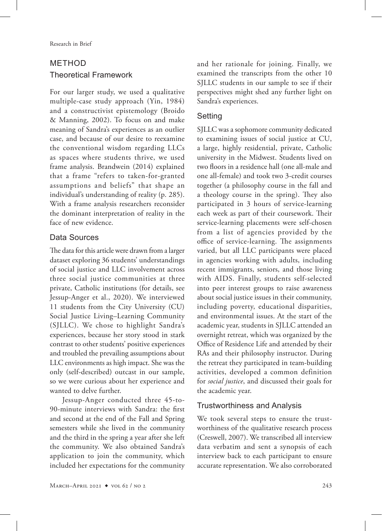### **METHOD** Theoretical Framework

For our larger study, we used a qualitative multiple-case study approach (Yin, 1984) and a constructivist epistemology (Broido & Manning, 2002). To focus on and make meaning of Sandra's experiences as an outlier case, and because of our desire to reexamine the conventional wisdom regarding LLCs as spaces where students thrive, we used frame analysis. Brandwein (2014) explained that a frame "refers to taken-for-granted assumptions and beliefs" that shape an individual's understanding of reality (p. 285). With a frame analysis researchers reconsider the dominant interpretation of reality in the face of new evidence.

### Data Sources

The data for this article were drawn from a larger dataset exploring 36 students' understandings of social justice and LLC involvement across three social justice communities at three private, Catholic institutions (for details, see Jessup-Anger et al., 2020). We interviewed 11 students from the City University (CU) Social Justice Living–Learning Community (SJLLC). We chose to highlight Sandra's experiences, because her story stood in stark contrast to other students' positive experiences and troubled the prevailing assumptions about LLC environments as high impact. She was the only (self-described) outcast in our sample, so we were curious about her experience and wanted to delve further.

Jessup-Anger conducted three 45-to-90-minute interviews with Sandra: the first and second at the end of the Fall and Spring semesters while she lived in the community and the third in the spring a year after she left the community. We also obtained Sandra's application to join the community, which included her expectations for the community and her rationale for joining. Finally, we examined the transcripts from the other 10 SJLLC students in our sample to see if their perspectives might shed any further light on Sandra's experiences.

#### Setting

SJLLC was a sophomore community dedicated to examining issues of social justice at CU, a large, highly residential, private, Catholic university in the Midwest. Students lived on two floors in a residence hall (one all-male and one all-female) and took two 3-credit courses together (a philosophy course in the fall and a theology course in the spring). They also participated in 3 hours of service-learning each week as part of their coursework. Their service-learning placements were self-chosen from a list of agencies provided by the office of service-learning. The assignments varied, but all LLC participants were placed in agencies working with adults, including recent immigrants, seniors, and those living with AIDS. Finally, students self-selected into peer interest groups to raise awareness about social justice issues in their community, including poverty, educational disparities, and environmental issues. At the start of the academic year, students in SJLLC attended an overnight retreat, which was organized by the Office of Residence Life and attended by their RAs and their philosophy instructor. During the retreat they participated in team-building activities, developed a common definition for *social justice*, and discussed their goals for the academic year.

#### Trustworthiness and Analysis

We took several steps to ensure the trustworthiness of the qualitative research process (Creswell, 2007). We transcribed all interview data verbatim and sent a synopsis of each interview back to each participant to ensure accurate representation. We also corroborated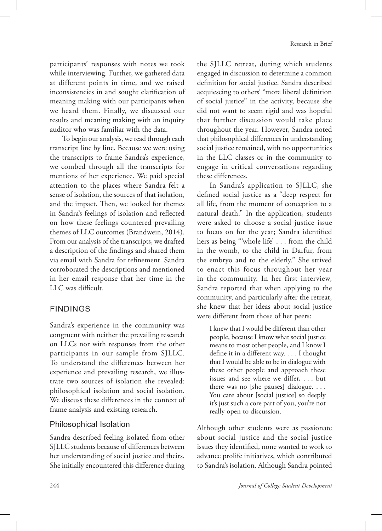participants' responses with notes we took while interviewing. Further, we gathered data at different points in time, and we raised inconsistencies in and sought clarification of meaning making with our participants when we heard them. Finally, we discussed our results and meaning making with an inquiry auditor who was familiar with the data.

To begin our analysis, we read through each transcript line by line. Because we were using the transcripts to frame Sandra's experience, we combed through all the transcripts for mentions of her experience. We paid special attention to the places where Sandra felt a sense of isolation, the sources of that isolation, and the impact. Then, we looked for themes in Sandra's feelings of isolation and reflected on how these feelings countered prevailing themes of LLC outcomes (Brandwein, 2014). From our analysis of the transcripts, we drafted a description of the findings and shared them via email with Sandra for refinement. Sandra corroborated the descriptions and mentioned in her email response that her time in the LLC was difficult.

#### Findings

Sandra's experience in the community was congruent with neither the prevailing research on LLCs nor with responses from the other participants in our sample from SJLLC. To understand the differences between her experience and prevailing research, we illustrate two sources of isolation she revealed: philosophical isolation and social isolation. We discuss these differences in the context of frame analysis and existing research.

#### Philosophical Isolation

Sandra described feeling isolated from other SJLLC students because of differences between her understanding of social justice and theirs. She initially encountered this difference during the SJLLC retreat, during which students engaged in discussion to determine a common definition for social justice. Sandra described acquiescing to others' "more liberal definition of social justice" in the activity, because she did not want to seem rigid and was hopeful that further discussion would take place throughout the year. However, Sandra noted that philosophical differences in understanding social justice remained, with no opportunities in the LLC classes or in the community to engage in critical conversations regarding these differences.

In Sandra's application to SJLLC, she defined social justice as a "deep respect for all life, from the moment of conception to a natural death." In the application, students were asked to choose a social justice issue to focus on for the year; Sandra identified hers as being "'whole life' . . . from the child in the womb, to the child in Darfur, from the embryo and to the elderly." She strived to enact this focus throughout her year in the community. In her first interview, Sandra reported that when applying to the community, and particularly after the retreat, she knew that her ideas about social justice were different from those of her peers:

I knew that I would be different than other people, because I know what social justice means to most other people, and I know I define it in a different way. . . . I thought that I would be able to be in dialogue with these other people and approach these issues and see where we differ, . . . but there was no [she pauses] dialogue. . . . You care about [social justice] so deeply it's just such a core part of you, you're not really open to discussion.

Although other students were as passionate about social justice and the social justice issues they identified, none wanted to work to advance prolife initiatives, which contributed to Sandra's isolation. Although Sandra pointed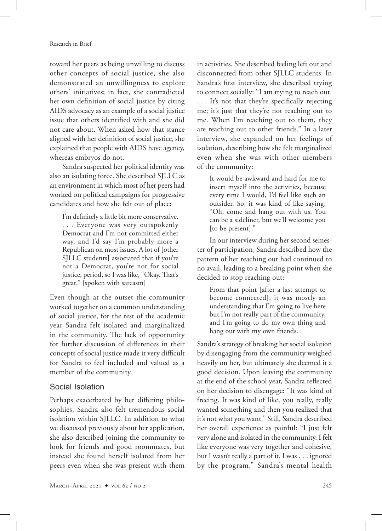toward her peers as being unwilling to discuss other concepts of social justice, she also demonstrated an unwillingness to explore others' initiatives; in fact, she contradicted her own definition of social justice by citing AIDS advocacy as an example of a social justice issue that others identified with and she did not care about. When asked how that stance aligned with her definition of social justice, she explained that people with AIDS have agency, whereas embryos do not.

Sandra suspected her political identity was also an isolating force. She described SJLLC as an environment in which most of her peers had worked on political campaigns for progressive candidates and how she felt out of place:

I'm definitely a little bit more conservative. . . . Everyone was very outspokenly Democrat and I'm not committed either way, and I'd say I'm probably more a Republican on most issues. A lot of [other SJLLC students] associated that if you're not a Democrat, you're not for social justice, period, so I was like, "Okay. That's great." [spoken with sarcasm]

Even though at the outset the community worked together on a common understanding of social justice, for the rest of the academic year Sandra felt isolated and marginalized in the community. The lack of opportunity for further discussion of differences in their concepts of social justice made it very difficult for Sandra to feel included and valued as a member of the community.

#### Social Isolation

Perhaps exacerbated by her differing philosophies, Sandra also felt tremendous social isolation within SJLLC. In addition to what we discussed previously about her application, she also described joining the community to look for friends and good roommates, but instead she found herself isolated from her peers even when she was present with them

in activities. She described feeling left out and disconnected from other SJLLC students. In Sandra's first interview, she described trying to connect socially: "I am trying to reach out. . . . It's not that they're specifically rejecting me; it's just that they're not reaching out to me. When I'm reaching out to them, they are reaching out to other friends." In a later interview, she expanded on her feelings of isolation, describing how she felt marginalized even when she was with other members of the community:

It would be awkward and hard for me to insert myself into the activities, because every time I would, I'd feel like such an outsider. So, it was kind of like saying, "Oh, come and hang out with us. You can be a sideliner, but we'll welcome you [to be present]."

In our interview during her second semester of participation, Sandra described how the pattern of her reaching out had continued to no avail, leading to a breaking point when she decided to stop reaching out:

From that point [after a last attempt to become connected], it was mostly an understanding that I'm going to live here but I'm not really part of the community, and I'm going to do my own thing and hang out with my own friends.

Sandra's strategy of breaking her social isolation by disengaging from the community weighed heavily on her, but ultimately she deemed it a good decision. Upon leaving the community at the end of the school year, Sandra reflected on her decision to disengage: "It was kind of freeing. It was kind of like, you really, really wanted something and then you realized that it's not what you want." Still, Sandra described her overall experience as painful: "I just felt very alone and isolated in the community. I felt like everyone was very together and cohesive, but I wasn't really a part of it. I was . . . ignored by the program." Sandra's mental health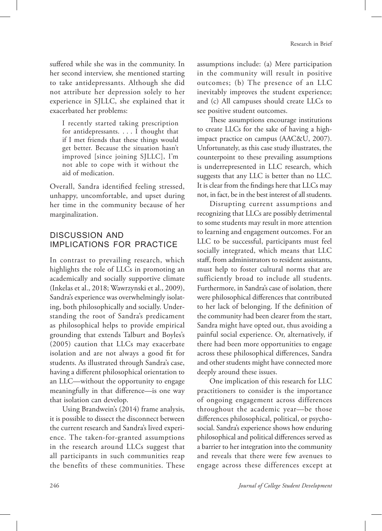suffered while she was in the community. In her second interview, she mentioned starting to take antidepressants. Although she did not attribute her depression solely to her experience in SJLLC, she explained that it exacerbated her problems:

I recently started taking prescription for antidepressants. . . . I thought that if I met friends that these things would get better. Because the situation hasn't improved [since joining SJLLC], I'm not able to cope with it without the aid of medication.

Overall, Sandra identified feeling stressed, unhappy, uncomfortable, and upset during her time in the community because of her marginalization.

#### Discussion and Implications for Practice

In contrast to prevailing research, which highlights the role of LLCs in promoting an academically and socially supportive climate (Inkelas et al., 2018; Wawrzynski et al., 2009), Sandra's experience was overwhelmingly isolating, both philosophically and socially. Understanding the root of Sandra's predicament as philosophical helps to provide empirical grounding that extends Talburt and Boyles's (2005) caution that LLCs may exacerbate isolation and are not always a good fit for students. As illustrated through Sandra's case, having a different philosophical orientation to an LLC—without the opportunity to engage meaningfully in that difference—is one way that isolation can develop.

Using Brandwein's (2014) frame analysis, it is possible to dissect the disconnect between the current research and Sandra's lived experience. The taken-for-granted assumptions in the research around LLCs suggest that all participants in such communities reap the benefits of these communities. These

assumptions include: (a) Mere participation in the community will result in positive outcomes; (b) The presence of an LLC inevitably improves the student experience; and (c) All campuses should create LLCs to see positive student outcomes.

These assumptions encourage institutions to create LLCs for the sake of having a highimpact practice on campus (AAC&U, 2007). Unfortunately, as this case study illustrates, the counterpoint to these prevailing assumptions is underrepresented in LLC research, which suggests that any LLC is better than no LLC. It is clear from the findings here that LLCs may not, in fact, be in the best interest of all students.

Disrupting current assumptions and recognizing that LLCs are possibly detrimental to some students may result in more attention to learning and engagement outcomes. For an LLC to be successful, participants must feel socially integrated, which means that LLC staff, from administrators to resident assistants, must help to foster cultural norms that are sufficiently broad to include all students. Furthermore, in Sandra's case of isolation, there were philosophical differences that contributed to her lack of belonging. If the definition of the community had been clearer from the start, Sandra might have opted out, thus avoiding a painful social experience. Or, alternatively, if there had been more opportunities to engage across these philosophical differences, Sandra and other students might have connected more deeply around these issues.

One implication of this research for LLC practitioners to consider is the importance of ongoing engagement across differences throughout the academic year—be those differences philosophical, political, or psychosocial. Sandra's experience shows how enduring philosophical and political differences served as a barrier to her integration into the community and reveals that there were few avenues to engage across these differences except at